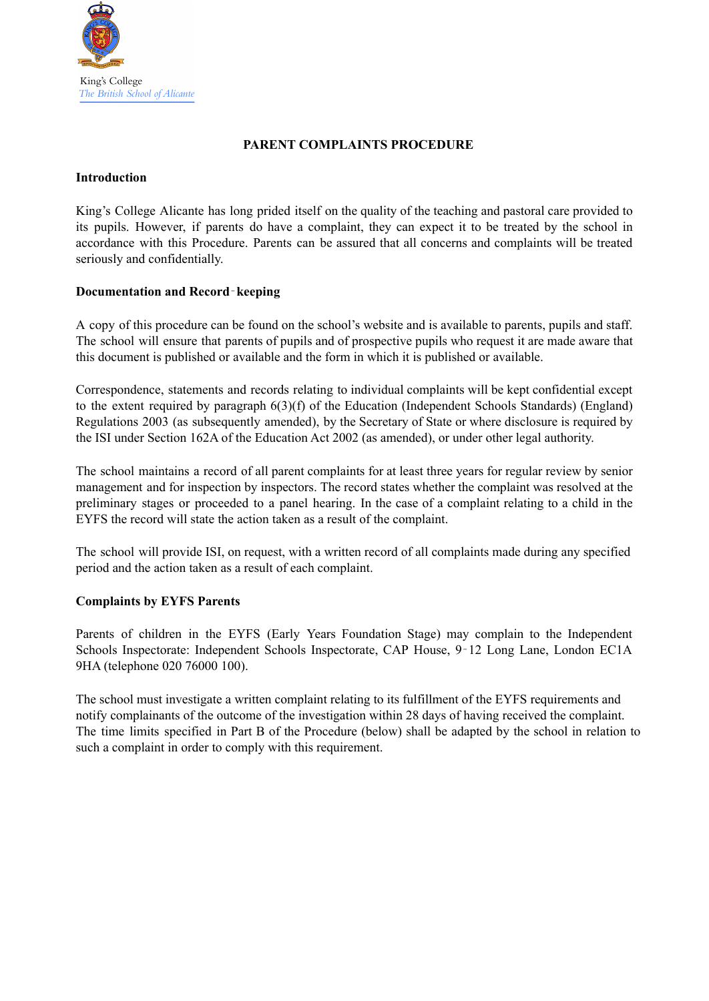

### **PARENT COMPLAINTS PROCEDURE**

#### **Introduction**

King's College Alicante has long prided itself on the quality of the teaching and pastoral care provided to its pupils. However, if parents do have a complaint, they can expect it to be treated by the school in accordance with this Procedure. Parents can be assured that all concerns and complaints will be treated seriously and confidentially.

### **Documentation and Record**‐**keeping**

A copy of this procedure can be found on the school's website and is available to parents, pupils and staff. The school will ensure that parents of pupils and of prospective pupils who request it are made aware that this document is published or available and the form in which it is published or available.

Correspondence, statements and records relating to individual complaints will be kept confidential except to the extent required by paragraph 6(3)(f) of the Education (Independent Schools Standards) (England) Regulations 2003 (as subsequently amended), by the Secretary of State or where disclosure is required by the ISI under Section 162A of the Education Act 2002 (as amended), or under other legal authority.

The school maintains a record of all parent complaints for at least three years for regular review by senior management and for inspection by inspectors. The record states whether the complaint was resolved at the preliminary stages or proceeded to a panel hearing. In the case of a complaint relating to a child in the EYFS the record will state the action taken as a result of the complaint.

The school will provide ISI, on request, with a written record of all complaints made during any specified period and the action taken as a result of each complaint.

## **Complaints by EYFS Parents**

Parents of children in the EYFS (Early Years Foundation Stage) may complain to the Independent Schools Inspectorate: Independent Schools Inspectorate, CAP House, 9‐12 Long Lane, London EC1A 9HA (telephone 020 76000 100).

The school must investigate a written complaint relating to its fulfillment of the EYFS requirements and notify complainants of the outcome of the investigation within 28 days of having received the complaint. The time limits specified in Part B of the Procedure (below) shall be adapted by the school in relation to such a complaint in order to comply with this requirement.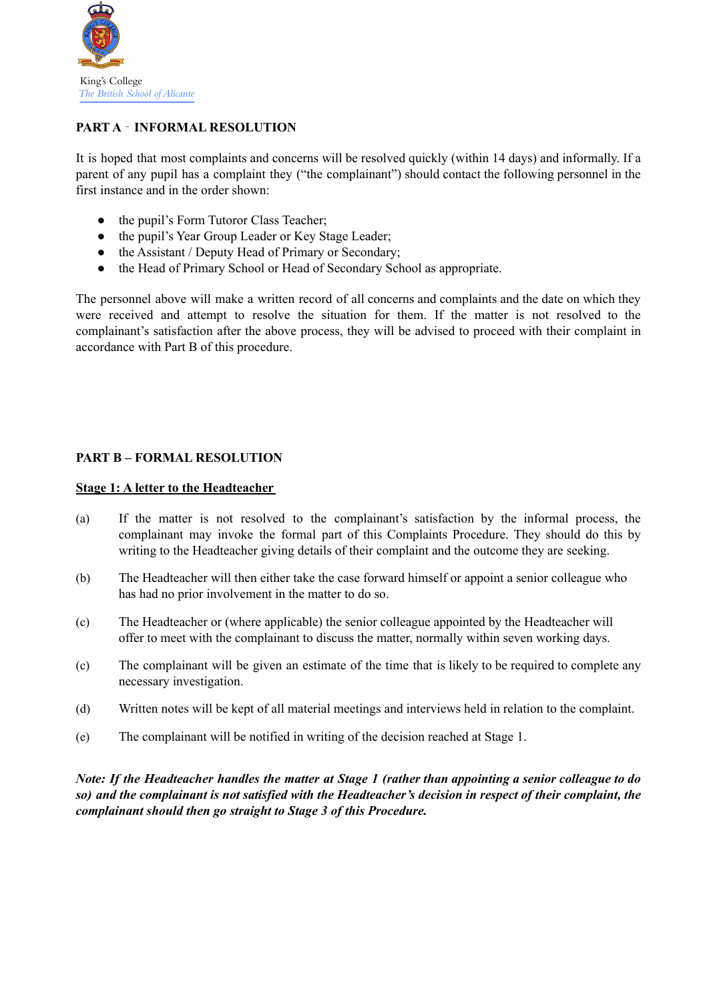

# **PART A** ‐ **INFORMAL RESOLUTION**

It is hoped that most complaints and concerns will be resolved quickly (within 14 days) and informally. If a parent of any pupil has a complaint they ("the complainant") should contact the following personnel in the first instance and in the order shown:

- the pupil's Form Tutoror Class Teacher;
- the pupil's Year Group Leader or Key Stage Leader;
- the Assistant / Deputy Head of Primary or Secondary;
- the Head of Primary School or Head of Secondary School as appropriate.

The personnel above will make a written record of all concerns and complaints and the date on which they were received and attempt to resolve the situation for them. If the matter is not resolved to the complainant's satisfaction after the above process, they will be advised to proceed with their complaint in accordance with Part B of this procedure.

# **PART B – FORMAL RESOLUTION**

### **Stage 1: A letter to the Headteacher**

- (a) If the matter is not resolved to the complainant's satisfaction by the informal process, the complainant may invoke the formal part of this Complaints Procedure. They should do this by writing to the Headteacher giving details of their complaint and the outcome they are seeking.
- (b) The Headteacher will then either take the case forward himself or appoint a senior colleague who has had no prior involvement in the matter to do so.
- (c) The Headteacher or (where applicable) the senior colleague appointed by the Headteacher will offer to meet with the complainant to discuss the matter, normally within seven working days.
- (c) The complainant will be given an estimate of the time that is likely to be required to complete any necessary investigation.
- (d) Written notes will be kept of all material meetings and interviews held in relation to the complaint.
- (e) The complainant will be notified in writing of the decision reached at Stage 1.

Note: If the Headteacher handles the matter at Stage 1 (rather than appointing a senior colleague to do so) and the complainant is not satisfied with the Headteacher's decision in respect of their complaint, the *complainant should then go straight to Stage 3 of this Procedure.*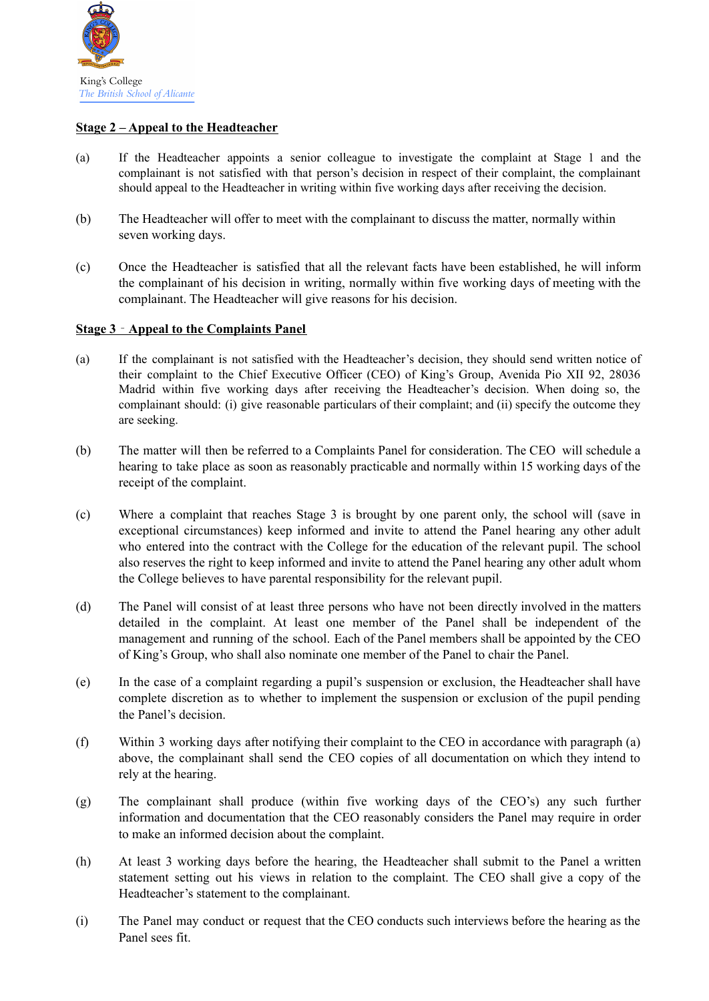

### **Stage 2 – Appeal to the Headteacher**

- (a) If the Headteacher appoints a senior colleague to investigate the complaint at Stage 1 and the complainant is not satisfied with that person's decision in respect of their complaint, the complainant should appeal to the Headteacher in writing within five working days after receiving the decision.
- (b) The Headteacher will offer to meet with the complainant to discuss the matter, normally within seven working days.
- (c) Once the Headteacher is satisfied that all the relevant facts have been established, he will inform the complainant of his decision in writing, normally within five working days of meeting with the complainant. The Headteacher will give reasons for his decision.

### **Stage 3** ‐ **Appeal to the Complaints Panel**

- (a) If the complainant is not satisfied with the Headteacher's decision, they should send written notice of their complaint to the Chief Executive Officer (CEO) of King's Group, Avenida Pio XII 92, 28036 Madrid within five working days after receiving the Headteacher's decision. When doing so, the complainant should: (i) give reasonable particulars of their complaint; and (ii) specify the outcome they are seeking.
- (b) The matter will then be referred to a Complaints Panel for consideration. The CEO will schedule a hearing to take place as soon as reasonably practicable and normally within 15 working days of the receipt of the complaint.
- (c) Where a complaint that reaches Stage 3 is brought by one parent only, the school will (save in exceptional circumstances) keep informed and invite to attend the Panel hearing any other adult who entered into the contract with the College for the education of the relevant pupil. The school also reserves the right to keep informed and invite to attend the Panel hearing any other adult whom the College believes to have parental responsibility for the relevant pupil.
- (d) The Panel will consist of at least three persons who have not been directly involved in the matters detailed in the complaint. At least one member of the Panel shall be independent of the management and running of the school. Each of the Panel members shall be appointed by the CEO of King's Group, who shall also nominate one member of the Panel to chair the Panel.
- (e) In the case of a complaint regarding a pupil's suspension or exclusion, the Headteacher shall have complete discretion as to whether to implement the suspension or exclusion of the pupil pending the Panel's decision.
- (f) Within 3 working days after notifying their complaint to the CEO in accordance with paragraph (a) above, the complainant shall send the CEO copies of all documentation on which they intend to rely at the hearing.
- (g) The complainant shall produce (within five working days of the CEO's) any such further information and documentation that the CEO reasonably considers the Panel may require in order to make an informed decision about the complaint.
- (h) At least 3 working days before the hearing, the Headteacher shall submit to the Panel a written statement setting out his views in relation to the complaint. The CEO shall give a copy of the Headteacher's statement to the complainant.
- (i) The Panel may conduct or request that the CEO conducts such interviews before the hearing as the Panel sees fit.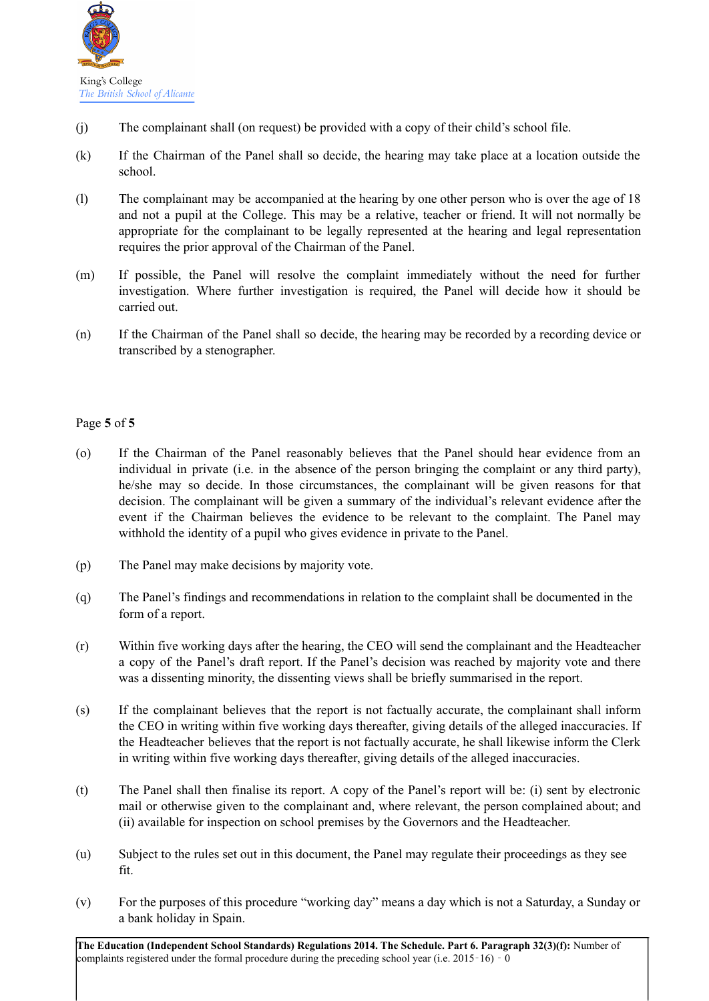

- (j) The complainant shall (on request) be provided with a copy of their child's school file.
- (k) If the Chairman of the Panel shall so decide, the hearing may take place at a location outside the school.
- (l) The complainant may be accompanied at the hearing by one other person who is over the age of 18 and not a pupil at the College. This may be a relative, teacher or friend. It will not normally be appropriate for the complainant to be legally represented at the hearing and legal representation requires the prior approval of the Chairman of the Panel.
- (m) If possible, the Panel will resolve the complaint immediately without the need for further investigation. Where further investigation is required, the Panel will decide how it should be carried out.
- (n) If the Chairman of the Panel shall so decide, the hearing may be recorded by a recording device or transcribed by a stenographer.

## Page **5** of **5**

- (o) If the Chairman of the Panel reasonably believes that the Panel should hear evidence from an individual in private (i.e. in the absence of the person bringing the complaint or any third party), he/she may so decide. In those circumstances, the complainant will be given reasons for that decision. The complainant will be given a summary of the individual's relevant evidence after the event if the Chairman believes the evidence to be relevant to the complaint. The Panel may withhold the identity of a pupil who gives evidence in private to the Panel.
- (p) The Panel may make decisions by majority vote.
- (q) The Panel's findings and recommendations in relation to the complaint shall be documented in the form of a report.
- (r) Within five working days after the hearing, the CEO will send the complainant and the Headteacher a copy of the Panel's draft report. If the Panel's decision was reached by majority vote and there was a dissenting minority, the dissenting views shall be briefly summarised in the report.
- (s) If the complainant believes that the report is not factually accurate, the complainant shall inform the CEO in writing within five working days thereafter, giving details of the alleged inaccuracies. If the Headteacher believes that the report is not factually accurate, he shall likewise inform the Clerk in writing within five working days thereafter, giving details of the alleged inaccuracies.
- (t) The Panel shall then finalise its report. A copy of the Panel's report will be: (i) sent by electronic mail or otherwise given to the complainant and, where relevant, the person complained about; and (ii) available for inspection on school premises by the Governors and the Headteacher.
- (u) Subject to the rules set out in this document, the Panel may regulate their proceedings as they see fit.
- (v) For the purposes of this procedure "working day" means a day which is not a Saturday, a Sunday or a bank holiday in Spain.

**The Education (Independent School Standards) Regulations 2014. The Schedule. Part 6. Paragraph 32(3)(f):** Number of complaints registered under the formal procedure during the preceding school year (i.e. 2015–16)  $\overline{0}$  – 0